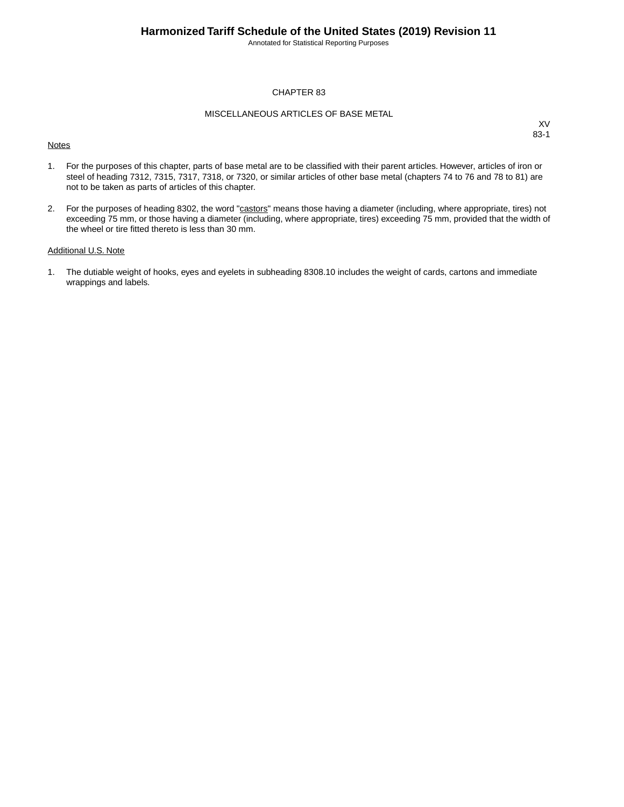Annotated for Statistical Reporting Purposes

## CHAPTER 83

## MISCELLANEOUS ARTICLES OF BASE METAL

#### **Notes**

XV 83-1

- 1. For the purposes of this chapter, parts of base metal are to be classified with their parent articles. However, articles of iron or steel of heading 7312, 7315, 7317, 7318, or 7320, or similar articles of other base metal (chapters 74 to 76 and 78 to 81) are not to be taken as parts of articles of this chapter.
- 2. For the purposes of heading 8302, the word "castors" means those having a diameter (including, where appropriate, tires) not exceeding 75 mm, or those having a diameter (including, where appropriate, tires) exceeding 75 mm, provided that the width of the wheel or tire fitted thereto is less than 30 mm.

## Additional U.S. Note

1. The dutiable weight of hooks, eyes and eyelets in subheading 8308.10 includes the weight of cards, cartons and immediate wrappings and labels.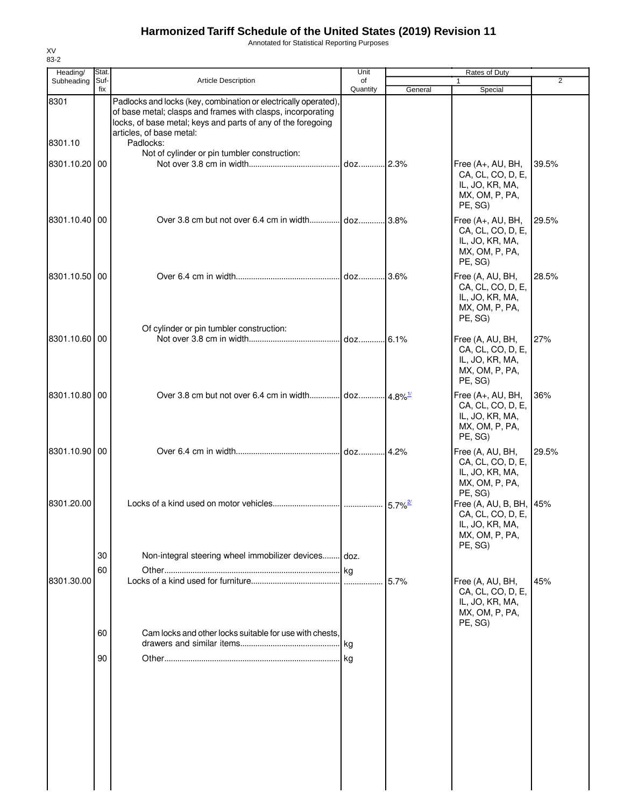Annotated for Statistical Reporting Purposes

| Heading/        | Stat.       |                                                                                                                                                                                                                                         | Unit            |                       | Rates of Duty                                                                                |                |
|-----------------|-------------|-----------------------------------------------------------------------------------------------------------------------------------------------------------------------------------------------------------------------------------------|-----------------|-----------------------|----------------------------------------------------------------------------------------------|----------------|
| Subheading      | Suf-<br>fix | <b>Article Description</b>                                                                                                                                                                                                              | of<br>Quantity  | General               | Special                                                                                      | $\overline{2}$ |
| 8301<br>8301.10 |             | Padlocks and locks (key, combination or electrically operated),<br>of base metal; clasps and frames with clasps, incorporating<br>locks, of base metal; keys and parts of any of the foregoing<br>articles, of base metal:<br>Padlocks: |                 |                       |                                                                                              |                |
|                 |             | Not of cylinder or pin tumbler construction:                                                                                                                                                                                            |                 |                       |                                                                                              |                |
| 8301.10.20 00   |             |                                                                                                                                                                                                                                         | doz 2.3%        |                       | Free (A+, AU, BH,<br>CA, CL, CO, D, E,<br>IL, JO, KR, MA,<br>MX, OM, P, PA,<br>PE, SG)       | 39.5%          |
| 8301.10.40 00   |             |                                                                                                                                                                                                                                         |                 |                       | Free (A+, AU, BH,<br>CA, CL, CO, D, E,<br>IL, JO, KR, MA,<br>MX, OM, P, PA,<br>PE, SG)       | 29.5%          |
| 8301.10.50 00   |             |                                                                                                                                                                                                                                         |                 |                       | Free (A, AU, BH,<br>CA, CL, CO, D, E,<br>IL, JO, KR, MA,<br>MX, OM, P, PA,<br>PE, SG)        | 28.5%          |
| 8301.10.60 00   |             | Of cylinder or pin tumbler construction:                                                                                                                                                                                                | doz 6.1%        |                       | Free (A, AU, BH,<br>CA, CL, CO, D, E,<br>IL, JO, KR, MA,<br>MX, OM, P, PA,<br>PE, SG)        | 27%            |
| 8301.10.80 00   |             |                                                                                                                                                                                                                                         |                 | $14.8\%$              | Free (A+, AU, BH,<br>CA, CL, CO, D, E,<br>IL, JO, KR, MA,<br>MX, OM, P, PA,<br>PE, SG)       | 36%            |
| 8301.10.90 00   |             |                                                                                                                                                                                                                                         | doz14.2%        |                       | Free (A, AU, BH,<br>CA, CL, CO, D, E,<br>IL, JO, KR, MA,<br>MX, OM, P, PA,<br>PE, SG)        | 29.5%          |
| 8301.20.00      | 30          | Non-integral steering wheel immobilizer devices doz.                                                                                                                                                                                    |                 | $5.7\%$ <sup>2/</sup> | Free (A, AU, B, BH, 45%<br>CA, CL, CO, D, E,<br>IL, JO, KR, MA,<br>MX, OM, P, PA,<br>PE, SG) |                |
| 8301.30.00      | 60          |                                                                                                                                                                                                                                         | kg              | 5.7%                  | Free (A, AU, BH,<br>CA, CL, CO, D, E,<br>IL, JO, KR, MA,<br>MX, OM, P, PA,<br>PE, SG)        | 45%            |
|                 | 60<br>90    | Cam locks and other locks suitable for use with chests.                                                                                                                                                                                 | kg<br><b>kg</b> |                       |                                                                                              |                |
|                 |             |                                                                                                                                                                                                                                         |                 |                       |                                                                                              |                |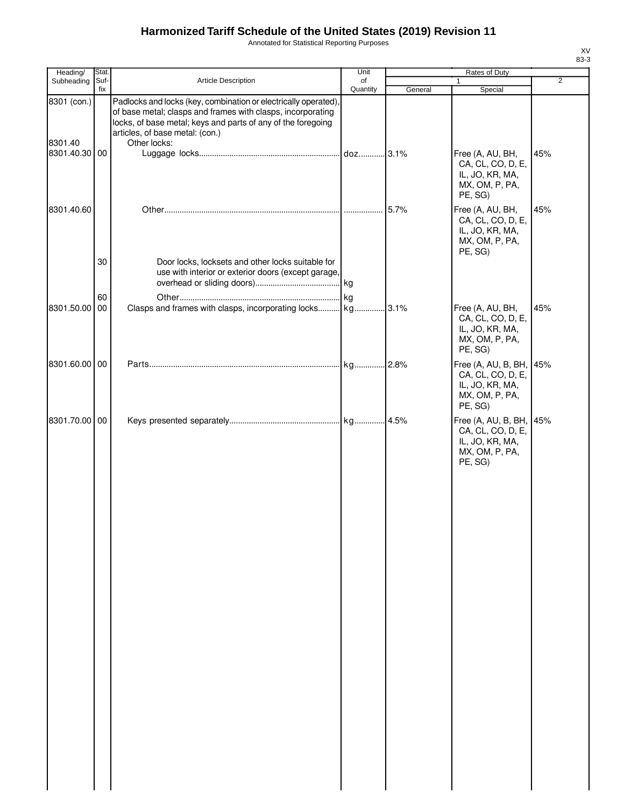Annotated for Statistical Reporting Purposes

| Heading/               | Stat.       |                                                                                                                                                                                                                                                   | Unit           |         | Rates of Duty                                                                            |                |
|------------------------|-------------|---------------------------------------------------------------------------------------------------------------------------------------------------------------------------------------------------------------------------------------------------|----------------|---------|------------------------------------------------------------------------------------------|----------------|
| Subheading             | Suf-<br>fix | <b>Article Description</b>                                                                                                                                                                                                                        | of<br>Quantity | General | $\mathbf{1}$<br>Special                                                                  | $\overline{2}$ |
| 8301 (con.)<br>8301.40 |             | Padlocks and locks (key, combination or electrically operated).<br>of base metal; clasps and frames with clasps, incorporating<br>locks, of base metal; keys and parts of any of the foregoing<br>articles, of base metal: (con.)<br>Other locks: |                |         |                                                                                          |                |
| 8301.40.30 00          |             |                                                                                                                                                                                                                                                   |                |         | Free (A, AU, BH,<br>CA, CL, CO, D, E,<br>IL, JO, KR, MA,<br>MX, OM, P, PA,<br>PE, SG)    | 45%            |
| 8301.40.60             |             |                                                                                                                                                                                                                                                   |                |         | Free (A, AU, BH,<br>CA, CL, CO, D, E,<br>IL, JO, KR, MA,<br>MX, OM, P, PA,<br>PE, SG)    | 45%            |
|                        | 30<br>60    | Door locks, locksets and other locks suitable for<br>use with interior or exterior doors (except garage,                                                                                                                                          |                |         |                                                                                          |                |
| 8301.50.00 00          |             |                                                                                                                                                                                                                                                   |                |         | Free (A, AU, BH,<br>CA, CL, CO, D, E,<br>IL, JO, KR, MA,<br>MX, OM, P, PA,<br>PE, SG)    | 45%            |
| 8301.60.00 00          |             |                                                                                                                                                                                                                                                   |                |         | Free (A, AU, B, BH,<br>CA, CL, CO, D, E,<br>IL, JO, KR, MA,<br>MX, OM, P, PA,<br>PE, SG) | 45%            |
| 8301.70.00 00          |             |                                                                                                                                                                                                                                                   |                |         | Free (A, AU, B, BH,<br>CA, CL, CO, D, E,<br>IL, JO, KR, MA,<br>MX, OM, P, PA,<br>PE, SG) | 45%            |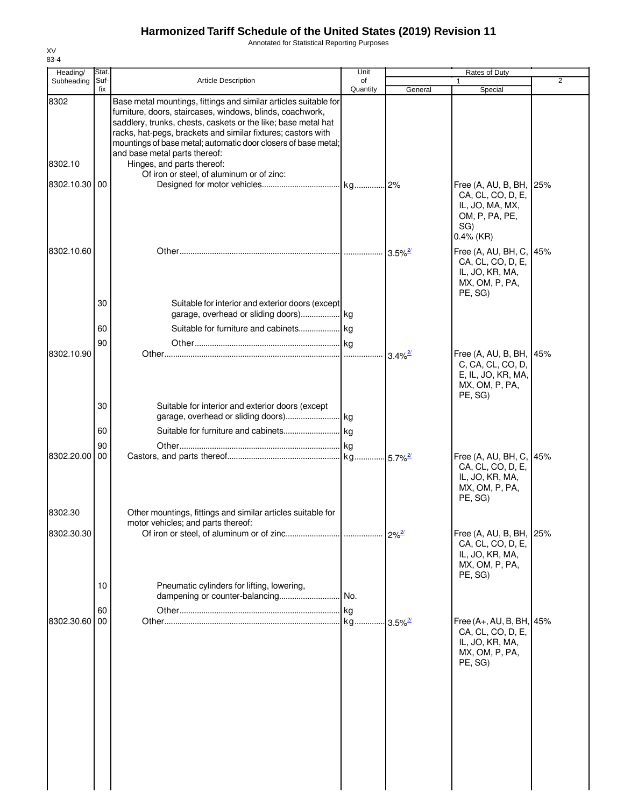Annotated for Statistical Reporting Purposes

| Heading/              | Stat.       |                                                                                                                                                                                                                                                                                                                                                                                                                                              | Unit            |                        | Rates of Duty                                                                                            |                |
|-----------------------|-------------|----------------------------------------------------------------------------------------------------------------------------------------------------------------------------------------------------------------------------------------------------------------------------------------------------------------------------------------------------------------------------------------------------------------------------------------------|-----------------|------------------------|----------------------------------------------------------------------------------------------------------|----------------|
| Subheading            | Suf-<br>fix | <b>Article Description</b>                                                                                                                                                                                                                                                                                                                                                                                                                   | of<br>Quantity  | General                | Special                                                                                                  | $\overline{2}$ |
| 8302<br>8302.10       |             | Base metal mountings, fittings and similar articles suitable for<br>furniture, doors, staircases, windows, blinds, coachwork,<br>saddlery, trunks, chests, caskets or the like; base metal hat<br>racks, hat-pegs, brackets and similar fixtures; castors with<br>mountings of base metal; automatic door closers of base metal;<br>and base metal parts thereof:<br>Hinges, and parts thereof:<br>Of iron or steel, of aluminum or of zinc: |                 |                        |                                                                                                          |                |
| 8302.10.30 00         |             |                                                                                                                                                                                                                                                                                                                                                                                                                                              |                 |                        | Free (A, AU, B, BH, 25%<br>CA, CL, CO, D, E,<br>IL, JO, MA, MX,<br>OM, P, PA, PE,<br>SG)<br>$0.4\%$ (KR) |                |
| 8302.10.60            | 30          | Suitable for interior and exterior doors (except                                                                                                                                                                                                                                                                                                                                                                                             |                 | $3.5\%$ <sup>2/</sup>  | Free (A, AU, BH, C, 45%<br>CA, CL, CO, D, E,<br>IL, JO, KR, MA,<br>MX, OM, P, PA,<br>PE, SG)             |                |
|                       | 60          |                                                                                                                                                                                                                                                                                                                                                                                                                                              |                 |                        |                                                                                                          |                |
| 8302.10.90            | 90          |                                                                                                                                                                                                                                                                                                                                                                                                                                              |                 | $3.4\%$ <sup>2</sup>   | Free (A, AU, B, BH, 45%<br>C, CA, CL, CO, D,<br>E, IL, JO, KR, MA,<br>MX, OM, P, PA,<br>PE, SG)          |                |
|                       | 30<br>60    | Suitable for interior and exterior doors (except                                                                                                                                                                                                                                                                                                                                                                                             |                 |                        |                                                                                                          |                |
| 8302.20.00            | 90<br>00    |                                                                                                                                                                                                                                                                                                                                                                                                                                              |                 |                        | Free (A, AU, BH, C,<br>CA, CL, CO, D, E,<br>IL, JO, KR, MA,<br>MX, OM, P, PA,<br>PE, SG)                 | 45%            |
| 8302.30<br>8302.30.30 |             | Other mountings, fittings and similar articles suitable for<br>motor vehicles; and parts thereof:                                                                                                                                                                                                                                                                                                                                            |                 |                        | Free (A, AU, B, BH, 25%                                                                                  |                |
|                       | 10          | Pneumatic cylinders for lifting, lowering,                                                                                                                                                                                                                                                                                                                                                                                                   |                 |                        | CA, CL, CO, D, E,<br>IL, JO, KR, MA,<br>MX, OM, P, PA,<br>PE, SG)                                        |                |
| 8302.30.60            | 60<br>00    | dampening or counter-balancing                                                                                                                                                                                                                                                                                                                                                                                                               | No.<br>kg<br>kg | $-3.5\%$ <sup>2/</sup> | Free (A+, AU, B, BH, 45%<br>CA, CL, CO, D, E,<br>IL, JO, KR, MA,<br>MX, OM, P, PA,<br>PE, SG)            |                |
|                       |             |                                                                                                                                                                                                                                                                                                                                                                                                                                              |                 |                        |                                                                                                          |                |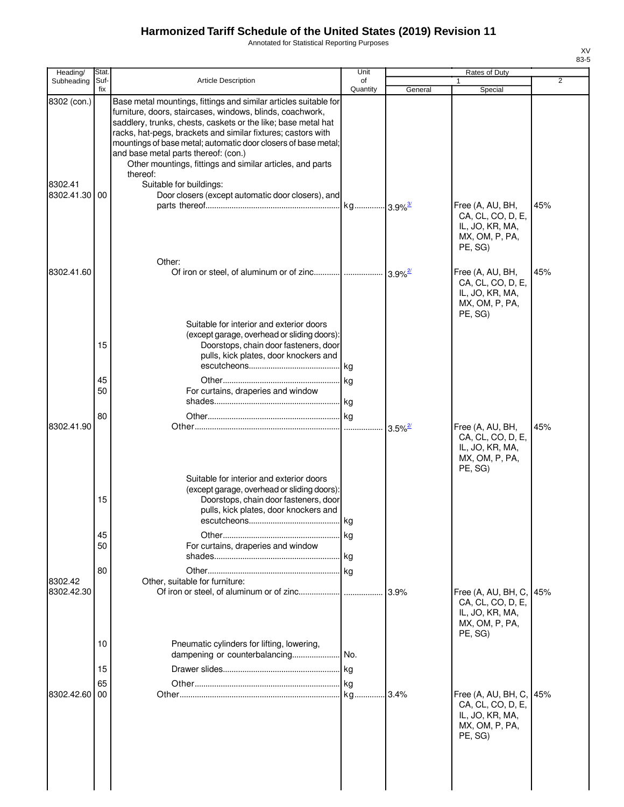Annotated for Statistical Reporting Purposes

| <b>Article Description</b>                                                                                                                                                                                                                                                                                                                                                                                                                                                   | of                                                                         |                                                                                                                                           | 1                                                                                        |     |
|------------------------------------------------------------------------------------------------------------------------------------------------------------------------------------------------------------------------------------------------------------------------------------------------------------------------------------------------------------------------------------------------------------------------------------------------------------------------------|----------------------------------------------------------------------------|-------------------------------------------------------------------------------------------------------------------------------------------|------------------------------------------------------------------------------------------|-----|
|                                                                                                                                                                                                                                                                                                                                                                                                                                                                              | Quantity                                                                   | General                                                                                                                                   | Special                                                                                  | 2   |
| Base metal mountings, fittings and similar articles suitable for<br>furniture, doors, staircases, windows, blinds, coachwork,<br>saddlery, trunks, chests, caskets or the like; base metal hat<br>racks, hat-pegs, brackets and similar fixtures; castors with<br>mountings of base metal; automatic door closers of base metal;<br>and base metal parts thereof: (con.)<br>Other mountings, fittings and similar articles, and parts<br>thereof:<br>Suitable for buildings: |                                                                            |                                                                                                                                           | Free (A, AU, BH,<br>CA, CL, CO, D, E,<br>IL, JO, KR, MA,<br>MX, OM, P, PA,<br>PE, SG)    | 45% |
| Other:                                                                                                                                                                                                                                                                                                                                                                                                                                                                       |                                                                            |                                                                                                                                           | Free (A, AU, BH,<br>CA, CL, CO, D, E,<br>IL, JO, KR, MA,<br>MX, OM, P, PA,<br>PE, SG)    | 45% |
| Doorstops, chain door fasteners, door<br>pulls, kick plates, door knockers and<br>For curtains, draperies and window                                                                                                                                                                                                                                                                                                                                                         |                                                                            |                                                                                                                                           | Free (A, AU, BH,<br>CA, CL, CO, D, E,                                                    | 45% |
| Suitable for interior and exterior doors<br>(except garage, overhead or sliding doors):<br>pulls, kick plates, door knockers and<br>escutcheons<br>For curtains, draperies and window                                                                                                                                                                                                                                                                                        | kg                                                                         |                                                                                                                                           | IL, JO, KR, MA,<br>MX, OM, P, PA,<br>PE, SG)                                             |     |
| Pneumatic cylinders for lifting, lowering,                                                                                                                                                                                                                                                                                                                                                                                                                                   |                                                                            | 3.9%                                                                                                                                      | Free (A, AU, BH, C,<br>CA, CL, CO, D, E,<br>IL, JO, KR, MA,<br>MX, OM, P, PA,<br>PE, SG) | 45% |
|                                                                                                                                                                                                                                                                                                                                                                                                                                                                              |                                                                            |                                                                                                                                           |                                                                                          |     |
|                                                                                                                                                                                                                                                                                                                                                                                                                                                                              |                                                                            |                                                                                                                                           | Free (A, AU, BH, C,<br>CA, CL, CO, D, E,<br>IL, JO, KR, MA,<br>MX, OM, P, PA,<br>PE, SG) | 45% |
|                                                                                                                                                                                                                                                                                                                                                                                                                                                                              | Suitable for interior and exterior doors<br>Other, suitable for furniture: | Door closers (except automatic door closers), and<br>(except garage, overhead or sliding doors):<br>Doorstops, chain door fasteners, door | $3.5\%$ <sup>2/</sup>                                                                    |     |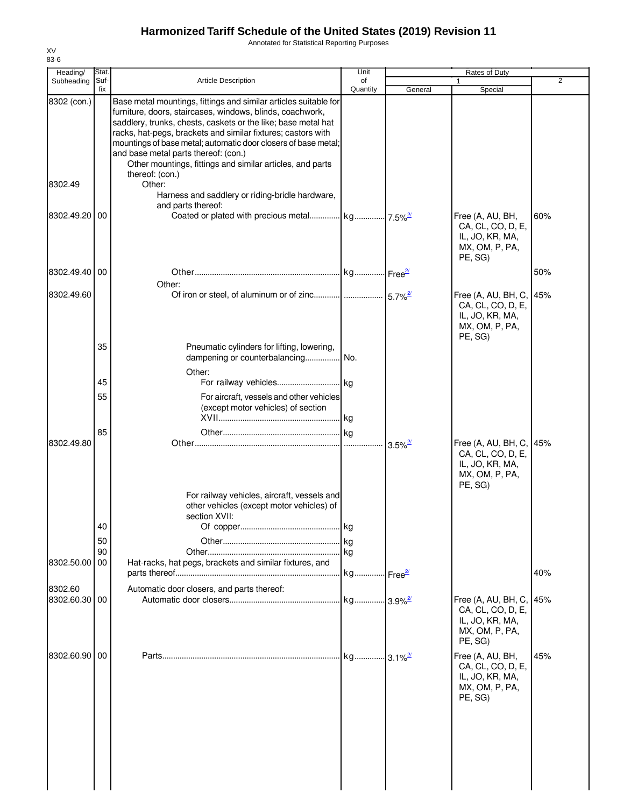Annotated for Statistical Reporting Purposes

|            |                                                                                                                                                                                                                                                                                                 |                                                 |                                                                                                                                                                                                                                                                                        | Rates of Duty                                                                            |                               |
|------------|-------------------------------------------------------------------------------------------------------------------------------------------------------------------------------------------------------------------------------------------------------------------------------------------------|-------------------------------------------------|----------------------------------------------------------------------------------------------------------------------------------------------------------------------------------------------------------------------------------------------------------------------------------------|------------------------------------------------------------------------------------------|-------------------------------|
| Suf-       | <b>Article Description</b>                                                                                                                                                                                                                                                                      | of                                              |                                                                                                                                                                                                                                                                                        |                                                                                          | $\overline{2}$                |
|            | furniture, doors, staircases, windows, blinds, coachwork,<br>saddlery, trunks, chests, caskets or the like; base metal hat<br>racks, hat-pegs, brackets and similar fixtures; castors with<br>and base metal parts thereof: (con.)<br>Other mountings, fittings and similar articles, and parts |                                                 |                                                                                                                                                                                                                                                                                        |                                                                                          |                               |
|            | Other:<br>Harness and saddlery or riding-bridle hardware,                                                                                                                                                                                                                                       |                                                 |                                                                                                                                                                                                                                                                                        |                                                                                          |                               |
| 00         |                                                                                                                                                                                                                                                                                                 |                                                 |                                                                                                                                                                                                                                                                                        | Free (A, AU, BH,<br>CA, CL, CO, D, E,<br>IL, JO, KR, MA,<br>MX, OM, P, PA,<br>PE, SG)    | 60%                           |
| 00         | Other:                                                                                                                                                                                                                                                                                          |                                                 |                                                                                                                                                                                                                                                                                        |                                                                                          | 50%                           |
|            |                                                                                                                                                                                                                                                                                                 |                                                 |                                                                                                                                                                                                                                                                                        | Free $(A, AU, BH, C,$<br>CA, CL, CO, D, E,<br>IL, JO, KR, MA,<br>MX, OM, P, PA,          | 45%                           |
| 35         | Pneumatic cylinders for lifting, lowering,                                                                                                                                                                                                                                                      |                                                 |                                                                                                                                                                                                                                                                                        |                                                                                          |                               |
| 45         |                                                                                                                                                                                                                                                                                                 |                                                 |                                                                                                                                                                                                                                                                                        |                                                                                          |                               |
| 55         | (except motor vehicles) of section                                                                                                                                                                                                                                                              |                                                 |                                                                                                                                                                                                                                                                                        |                                                                                          |                               |
| 85         |                                                                                                                                                                                                                                                                                                 |                                                 | $3.5\%$ <sup>2/</sup>                                                                                                                                                                                                                                                                  | Free (A, AU, BH, C,<br>CA, CL, CO, D, E,<br>IL, JO, KR, MA,<br>MX, OM, P, PA,            | 45%                           |
| 40<br>50   | other vehicles (except motor vehicles) of<br>section XVII:                                                                                                                                                                                                                                      |                                                 |                                                                                                                                                                                                                                                                                        |                                                                                          |                               |
| 00         | Hat-racks, hat pegs, brackets and similar fixtures, and                                                                                                                                                                                                                                         |                                                 |                                                                                                                                                                                                                                                                                        |                                                                                          | 40%                           |
| 00         | Automatic door closers, and parts thereof:                                                                                                                                                                                                                                                      |                                                 |                                                                                                                                                                                                                                                                                        | Free (A, AU, BH, C,<br>CA, CL, CO, D, E,<br>IL, JO, KR, MA,<br>MX, OM, P, PA,<br>PE, SG) | 45%                           |
| 00         |                                                                                                                                                                                                                                                                                                 |                                                 |                                                                                                                                                                                                                                                                                        | Free (A, AU, BH,<br>CA, CL, CO, D, E,<br>IL, JO, KR, MA,<br>MX, OM, P, PA,<br>PE, SG)    | 45%                           |
| Subheading | fix<br>8302 (con.)<br>8302.49.20<br>8302.49.40<br>8302.49.60<br>8302.49.80<br>90<br>8302.50.00<br>8302.60.30<br>8302.60.90                                                                                                                                                                      | thereof: (con.)<br>and parts thereof:<br>Other: | Quantity<br>Base metal mountings, fittings and similar articles suitable for<br>mountings of base metal; automatic door closers of base metal;<br>dampening or counterbalancing No.<br>For aircraft, vessels and other vehicles<br>For railway vehicles, aircraft, vessels and<br>l ka | General<br>. kg Free <sup>2/</sup>                                                       | Special<br>PE, SG)<br>PE, SG) |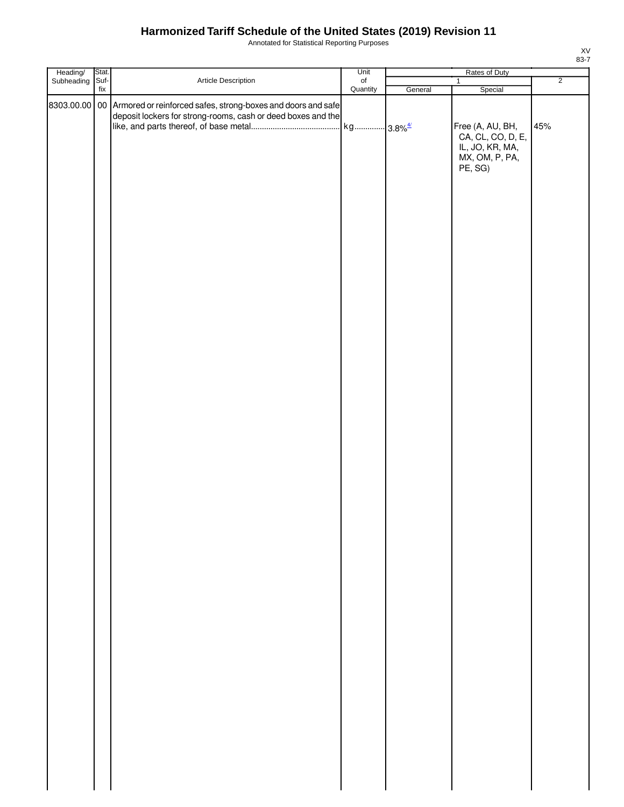Annotated for Statistical Reporting Purposes

|                        |               |                                                                                                                                            | Unit           | Rates of Duty |                                                                                                  |                |
|------------------------|---------------|--------------------------------------------------------------------------------------------------------------------------------------------|----------------|---------------|--------------------------------------------------------------------------------------------------|----------------|
| Heading/<br>Subheading | Stat.<br>Suf- | Article Description                                                                                                                        | of<br>Quantity |               | $\mathbf{1}$                                                                                     | $\overline{2}$ |
|                        | fix           | 8303.00.00 00 Armored or reinforced safes, strong-boxes and doors and safe<br>deposit lockers for strong-rooms, cash or deed boxes and the |                | General       | Special<br>Free (A, AU, BH,<br>CA, CL, CO, D, E,<br>IL, JO, KR, MA,<br>MX, OM, P, PA,<br>PE, SG) | 45%            |
|                        |               |                                                                                                                                            |                |               |                                                                                                  |                |
|                        |               |                                                                                                                                            |                |               |                                                                                                  |                |
|                        |               |                                                                                                                                            |                |               |                                                                                                  |                |
|                        |               |                                                                                                                                            |                |               |                                                                                                  |                |
|                        |               |                                                                                                                                            |                |               |                                                                                                  |                |
|                        |               |                                                                                                                                            |                |               |                                                                                                  |                |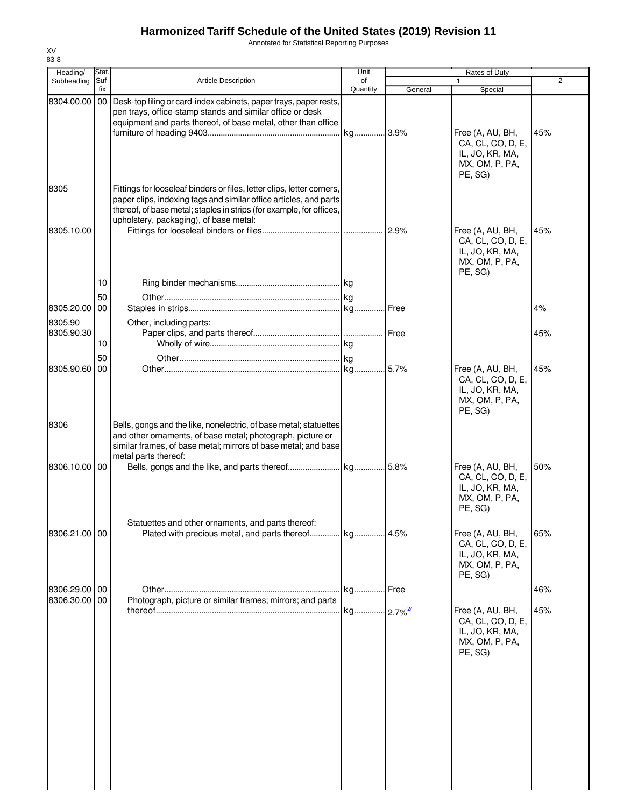Annotated for Statistical Reporting Purposes

| Heading/                       | Stat.       |                                                                                                                                                                                                                                                               | Unit           |         | Rates of Duty                                                                         |     |
|--------------------------------|-------------|---------------------------------------------------------------------------------------------------------------------------------------------------------------------------------------------------------------------------------------------------------------|----------------|---------|---------------------------------------------------------------------------------------|-----|
| Subheading                     | Suf-<br>fix | <b>Article Description</b>                                                                                                                                                                                                                                    | of<br>Quantity | General | Special                                                                               | 2   |
| 8304.00.00                     |             | 00 Desk-top filing or card-index cabinets, paper trays, paper rests,<br>pen trays, office-stamp stands and similar office or desk<br>equipment and parts thereof, of base metal, other than office                                                            |                |         |                                                                                       |     |
|                                |             |                                                                                                                                                                                                                                                               |                |         | Free (A, AU, BH,<br>CA, CL, CO, D, E,<br>IL, JO, KR, MA,<br>MX, OM, P, PA,<br>PE. SG) | 45% |
| 8305                           |             | Fittings for looseleaf binders or files, letter clips, letter corners,<br>paper clips, indexing tags and similar office articles, and parts<br>thereof, of base metal; staples in strips (for example, for offices,<br>upholstery, packaging), of base metal: |                |         |                                                                                       |     |
| 8305.10.00                     | 10          |                                                                                                                                                                                                                                                               |                | 2.9%    | Free (A, AU, BH,<br>CA, CL, CO, D, E,<br>IL, JO, KR, MA,<br>MX, OM, P, PA,<br>PE, SG) | 45% |
|                                |             |                                                                                                                                                                                                                                                               |                |         |                                                                                       |     |
| 8305.20.00<br>8305.90          | 50<br>00    |                                                                                                                                                                                                                                                               |                |         |                                                                                       | 4%  |
| 8305.90.30                     | 10          | Other, including parts:                                                                                                                                                                                                                                       |                |         |                                                                                       | 45% |
| 8305.90.60                     | 50<br>00    |                                                                                                                                                                                                                                                               |                |         | Free (A, AU, BH,<br>CA, CL, CO, D, E,<br>IL, JO, KR, MA,<br>MX, OM, P, PA,<br>PE, SG) | 45% |
| 8306                           |             | Bells, gongs and the like, nonelectric, of base metal; statuettes<br>and other ornaments, of base metal; photograph, picture or<br>similar frames, of base metal; mirrors of base metal; and base<br>metal parts thereof:                                     |                |         |                                                                                       |     |
| 8306.10.00 00                  |             |                                                                                                                                                                                                                                                               |                |         | Free (A, AU, BH,<br>CA, CL, CO, D, E,<br>IL, JO, KR, MA,<br>MX, OM, P, PA,<br>PE, SG) | 50% |
| 8306.21.00 00                  |             | Statuettes and other ornaments, and parts thereof:                                                                                                                                                                                                            |                |         | Free (A, AU, BH,<br>CA, CL, CO, D, E,<br>IL, JO, KR, MA,<br>MX, OM, P, PA,<br>PE, SG) | 65% |
| 8306.29.00 00<br>8306.30.00 00 |             |                                                                                                                                                                                                                                                               |                |         |                                                                                       | 46% |
|                                |             | Photograph, picture or similar frames; mirrors; and parts                                                                                                                                                                                                     |                |         | Free (A, AU, BH,<br>CA, CL, CO, D, E,<br>IL, JO, KR, MA,<br>MX, OM, P, PA,<br>PE, SG) | 45% |
|                                |             |                                                                                                                                                                                                                                                               |                |         |                                                                                       |     |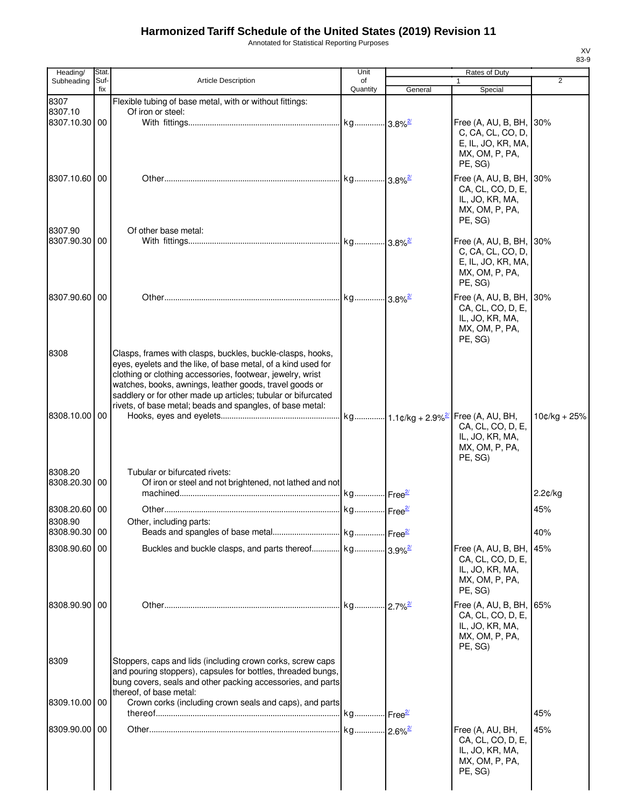Annotated for Statistical Reporting Purposes

| Heading/      | Stat.       |                                                                                                                             | Unit           |         | Rates of Duty                                |                |
|---------------|-------------|-----------------------------------------------------------------------------------------------------------------------------|----------------|---------|----------------------------------------------|----------------|
| Subheading    | Suf-<br>fix | <b>Article Description</b>                                                                                                  | of<br>Quantity | General | $\mathbf{1}$<br>Special                      | 2              |
| 8307          |             | Flexible tubing of base metal, with or without fittings:                                                                    |                |         |                                              |                |
| 8307.10       |             | Of iron or steel:                                                                                                           |                |         |                                              |                |
| 8307.10.30 00 |             |                                                                                                                             |                |         | Free (A, AU, B, BH,                          | 30%            |
|               |             |                                                                                                                             |                |         | C, CA, CL, CO, D,<br>E, IL, JO, KR, MA,      |                |
|               |             |                                                                                                                             |                |         | MX, OM, P, PA,                               |                |
|               |             |                                                                                                                             |                |         | PE, SG)                                      |                |
| 8307.10.60    | 00          |                                                                                                                             |                |         | Free (A, AU, B, BH, 30%                      |                |
|               |             |                                                                                                                             |                |         | CA, CL, CO, D, E,                            |                |
|               |             |                                                                                                                             |                |         | IL, JO, KR, MA,<br>MX, OM, P, PA,            |                |
|               |             |                                                                                                                             |                |         | PE, SG)                                      |                |
| 8307.90       |             | Of other base metal:                                                                                                        |                |         |                                              |                |
| 8307.90.30    | 00          |                                                                                                                             |                |         | Free (A, AU, B, BH, 30%<br>C, CA, CL, CO, D, |                |
|               |             |                                                                                                                             |                |         | E, IL, JO, KR, MA,                           |                |
|               |             |                                                                                                                             |                |         | MX, OM, P, PA,                               |                |
|               |             |                                                                                                                             |                |         | PE, SG)                                      |                |
| 8307.90.60 00 |             |                                                                                                                             |                |         | Free (A, AU, B, BH, 30%                      |                |
|               |             |                                                                                                                             |                |         | CA, CL, CO, D, E,<br>IL, JO, KR, MA,         |                |
|               |             |                                                                                                                             |                |         | MX, OM, P, PA,                               |                |
|               |             |                                                                                                                             |                |         | PE, SG)                                      |                |
| 8308          |             | Clasps, frames with clasps, buckles, buckle-clasps, hooks,                                                                  |                |         |                                              |                |
|               |             | eyes, eyelets and the like, of base metal, of a kind used for<br>clothing or clothing accessories, footwear, jewelry, wrist |                |         |                                              |                |
|               |             | watches, books, awnings, leather goods, travel goods or                                                                     |                |         |                                              |                |
|               |             | saddlery or for other made up articles; tubular or bifurcated                                                               |                |         |                                              |                |
| 8308.10.00 00 |             | rivets, of base metal; beads and spangles, of base metal:                                                                   |                |         |                                              | $10¢/kg + 25%$ |
|               |             |                                                                                                                             |                |         | CA, CL, CO, D, E,                            |                |
|               |             |                                                                                                                             |                |         | IL, JO, KR, MA,                              |                |
|               |             |                                                                                                                             |                |         | MX, OM, P, PA,<br>PE, SG)                    |                |
| 8308.20       |             |                                                                                                                             |                |         |                                              |                |
| 8308.20.30 00 |             | Tubular or bifurcated rivets:<br>Of iron or steel and not brightened, not lathed and not                                    |                |         |                                              |                |
|               |             |                                                                                                                             |                |         |                                              | 2.2¢/kg        |
| 8308.20.60 00 |             |                                                                                                                             |                |         |                                              | 45%            |
| 8308.90       |             | Other, including parts:                                                                                                     |                |         |                                              |                |
| 8308.90.30 00 |             |                                                                                                                             |                |         |                                              | 40%            |
| 8308.90.60 00 |             | Buckles and buckle clasps, and parts thereof kg 3.9% <sup>2</sup>                                                           |                |         | Free (A, AU, B, BH,                          | 45%            |
|               |             |                                                                                                                             |                |         | CA, CL, CO, D, E,                            |                |
|               |             |                                                                                                                             |                |         | IL, JO, KR, MA,<br>MX, OM, P, PA,            |                |
|               |             |                                                                                                                             |                |         | PE, SG)                                      |                |
| 8308.90.90 00 |             |                                                                                                                             |                |         | Free (A, AU, B, BH,                          | 65%            |
|               |             |                                                                                                                             |                |         | CA, CL, CO, D, E,                            |                |
|               |             |                                                                                                                             |                |         | IL, JO, KR, MA,<br>MX, OM, P, PA,            |                |
|               |             |                                                                                                                             |                |         | PE, SG)                                      |                |
| 8309          |             | Stoppers, caps and lids (including crown corks, screw caps                                                                  |                |         |                                              |                |
|               |             | and pouring stoppers), capsules for bottles, threaded bungs,                                                                |                |         |                                              |                |
|               |             | bung covers, seals and other packing accessories, and parts                                                                 |                |         |                                              |                |
| 8309.10.00 00 |             | thereof, of base metal:<br>Crown corks (including crown seals and caps), and parts                                          |                |         |                                              |                |
|               |             |                                                                                                                             |                |         |                                              | 45%            |
| 8309.90.00 00 |             |                                                                                                                             |                |         | Free (A, AU, BH,                             | 45%            |
|               |             |                                                                                                                             |                |         | CA, CL, CO, D, E,                            |                |
|               |             |                                                                                                                             |                |         | IL, JO, KR, MA,                              |                |
|               |             |                                                                                                                             |                |         | MX, OM, P, PA,<br>PE, SG)                    |                |
|               |             |                                                                                                                             |                |         |                                              |                |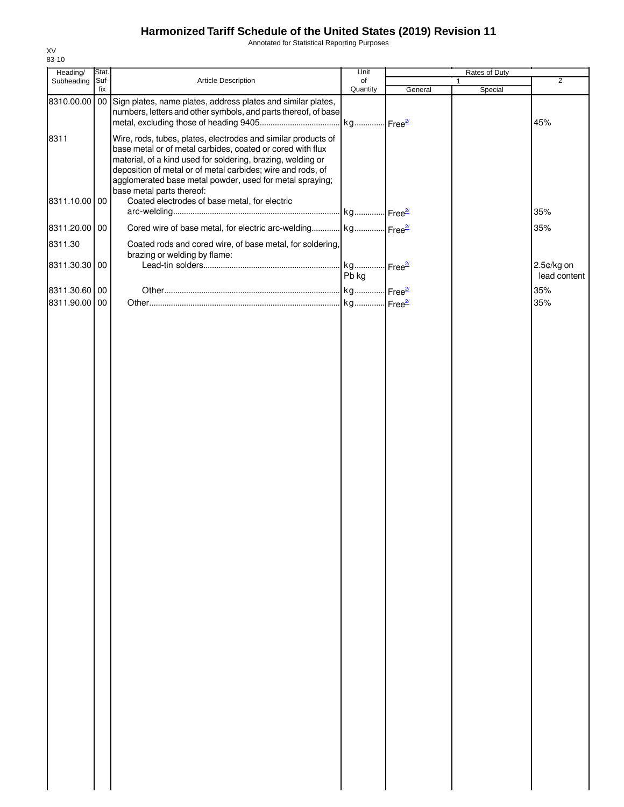Annotated for Statistical Reporting Purposes

| Heading/      | Stat.       |                                                                                                                                                                                                                                                                                                                       | Unit                  |         | Rates of Duty           |                |
|---------------|-------------|-----------------------------------------------------------------------------------------------------------------------------------------------------------------------------------------------------------------------------------------------------------------------------------------------------------------------|-----------------------|---------|-------------------------|----------------|
| Subheading    | Suf-<br>fix | Article Description                                                                                                                                                                                                                                                                                                   | of<br>Quantity        | General | $\mathbf{1}$<br>Special | $\overline{2}$ |
| 8310.00.00 00 |             | Sign plates, name plates, address plates and similar plates,<br>numbers, letters and other symbols, and parts thereof, of base                                                                                                                                                                                        | kg Free <sup>21</sup> |         |                         | 45%            |
| 8311          |             | Wire, rods, tubes, plates, electrodes and similar products of<br>base metal or of metal carbides, coated or cored with flux<br>material, of a kind used for soldering, brazing, welding or<br>deposition of metal or of metal carbides; wire and rods, of<br>agglomerated base metal powder, used for metal spraying; |                       |         |                         |                |
| 8311.10.00 00 |             | base metal parts thereof:<br>Coated electrodes of base metal, for electric                                                                                                                                                                                                                                            |                       |         |                         | 35%            |
| 8311.20.00 00 |             | Cored wire of base metal, for electric arc-welding kg Free <sup>21</sup>                                                                                                                                                                                                                                              |                       |         |                         | 35%            |
| 8311.30       |             | Coated rods and cored wire, of base metal, for soldering,<br>brazing or welding by flame:                                                                                                                                                                                                                             |                       |         |                         |                |
| 8311.30.30 00 |             |                                                                                                                                                                                                                                                                                                                       |                       |         |                         | 2.5¢/kg on     |
|               |             |                                                                                                                                                                                                                                                                                                                       | Pb kg                 |         |                         | lead content   |
| 8311.30.60 00 |             |                                                                                                                                                                                                                                                                                                                       |                       |         |                         | 35%            |
| 8311.90.00 00 |             |                                                                                                                                                                                                                                                                                                                       |                       |         |                         | 35%            |
|               |             |                                                                                                                                                                                                                                                                                                                       |                       |         |                         |                |
|               |             |                                                                                                                                                                                                                                                                                                                       |                       |         |                         |                |
|               |             |                                                                                                                                                                                                                                                                                                                       |                       |         |                         |                |
|               |             |                                                                                                                                                                                                                                                                                                                       |                       |         |                         |                |
|               |             |                                                                                                                                                                                                                                                                                                                       |                       |         |                         |                |
|               |             |                                                                                                                                                                                                                                                                                                                       |                       |         |                         |                |
|               |             |                                                                                                                                                                                                                                                                                                                       |                       |         |                         |                |
|               |             |                                                                                                                                                                                                                                                                                                                       |                       |         |                         |                |
|               |             |                                                                                                                                                                                                                                                                                                                       |                       |         |                         |                |
|               |             |                                                                                                                                                                                                                                                                                                                       |                       |         |                         |                |
|               |             |                                                                                                                                                                                                                                                                                                                       |                       |         |                         |                |
|               |             |                                                                                                                                                                                                                                                                                                                       |                       |         |                         |                |
|               |             |                                                                                                                                                                                                                                                                                                                       |                       |         |                         |                |
|               |             |                                                                                                                                                                                                                                                                                                                       |                       |         |                         |                |
|               |             |                                                                                                                                                                                                                                                                                                                       |                       |         |                         |                |
|               |             |                                                                                                                                                                                                                                                                                                                       |                       |         |                         |                |
|               |             |                                                                                                                                                                                                                                                                                                                       |                       |         |                         |                |
|               |             |                                                                                                                                                                                                                                                                                                                       |                       |         |                         |                |
|               |             |                                                                                                                                                                                                                                                                                                                       |                       |         |                         |                |
|               |             |                                                                                                                                                                                                                                                                                                                       |                       |         |                         |                |
|               |             |                                                                                                                                                                                                                                                                                                                       |                       |         |                         |                |
|               |             |                                                                                                                                                                                                                                                                                                                       |                       |         |                         |                |
|               |             |                                                                                                                                                                                                                                                                                                                       |                       |         |                         |                |
|               |             |                                                                                                                                                                                                                                                                                                                       |                       |         |                         |                |
|               |             |                                                                                                                                                                                                                                                                                                                       |                       |         |                         |                |
|               |             |                                                                                                                                                                                                                                                                                                                       |                       |         |                         |                |
|               |             |                                                                                                                                                                                                                                                                                                                       |                       |         |                         |                |
|               |             |                                                                                                                                                                                                                                                                                                                       |                       |         |                         |                |
|               |             |                                                                                                                                                                                                                                                                                                                       |                       |         |                         |                |
|               |             |                                                                                                                                                                                                                                                                                                                       |                       |         |                         |                |
|               |             |                                                                                                                                                                                                                                                                                                                       |                       |         |                         |                |
|               |             |                                                                                                                                                                                                                                                                                                                       |                       |         |                         |                |
|               |             |                                                                                                                                                                                                                                                                                                                       |                       |         |                         |                |